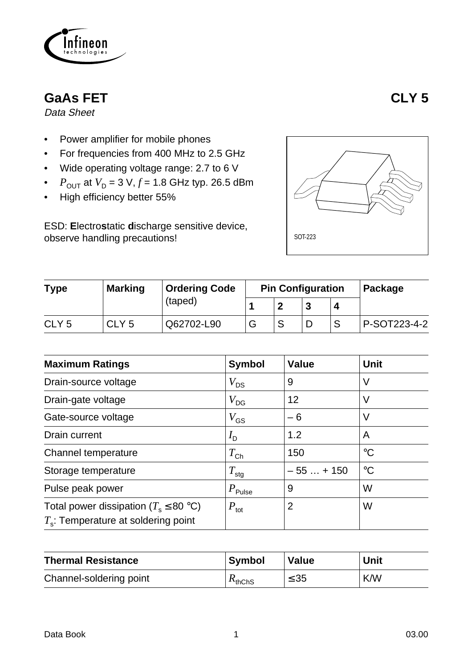

# **GaAs FET CLY 5**

Data Sheet

- Power amplifier for mobile phones
- For frequencies from 400 MHz to 2.5 GHz
- Wide operating voltage range: 2.7 to 6 V
- *P*<sub>OUT</sub> at  $V_D = 3 V, f = 1.8$  GHz typ. 26.5 dBm
- High efficiency better 55%

ESD: **E**lectro**s**tatic **d**ischarge sensitive device, observe handling precautions!



| <b>Type</b>      | <b>Marking</b>   | <b>Ordering Code</b> |   | <b>Pin Configuration</b> | <b>Package</b> |              |
|------------------|------------------|----------------------|---|--------------------------|----------------|--------------|
|                  |                  | (taped)              |   |                          |                |              |
| CLY <sub>5</sub> | CLY <sub>5</sub> | Q62702-L90           | G |                          |                | P-SOT223-4-2 |

| <b>Maximum Ratings</b>                                                                | <b>Symbol</b>        | <b>Value</b> | <b>Unit</b>     |
|---------------------------------------------------------------------------------------|----------------------|--------------|-----------------|
| Drain-source voltage                                                                  | $V_{DS}$             | 9            | V               |
| Drain-gate voltage                                                                    | $V_{\text{DG}}$      | 12           | V               |
| Gate-source voltage                                                                   | $V_{\text{GS}}$      | $-6$         | V               |
| Drain current                                                                         | $I_{\mathsf{D}}$     | 1.2          | A               |
| Channel temperature                                                                   | $T_{\mathsf{Ch}}$    | 150          | $\rm ^{\circ}C$ |
| Storage temperature                                                                   | $T_{\text{stg}}$     | $-55+150$    | $\rm ^{\circ}C$ |
| Pulse peak power                                                                      | $P_{\mathsf{Pulse}}$ | 9            | W               |
| Total power dissipation ( $T_s \leq 80$ °C)<br>$T_s$ : Temperature at soldering point | $P_{\text{tot}}$     | 2            | W               |

| <b>Thermal Resistance</b> | <b>Symbol</b> | <b>Value</b> | <b>Unit</b> |
|---------------------------|---------------|--------------|-------------|
| Channel-soldering point   | $K_{thChS}$   | $\leq 35$    | K/W         |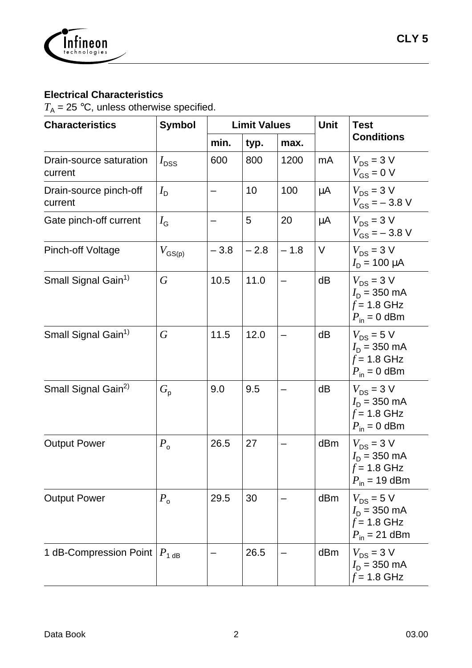

### **Electrical Characteristics**

 $T_A$  = 25 °C, unless otherwise specified.

| <b>Characteristics</b>                      | <b>Symbol</b>      | <b>Limit Values</b> |        |        | <b>Unit</b> | <b>Test</b>                                                                         |  |
|---------------------------------------------|--------------------|---------------------|--------|--------|-------------|-------------------------------------------------------------------------------------|--|
|                                             |                    | min.                | typ.   | max.   |             | <b>Conditions</b>                                                                   |  |
| Drain-source saturation<br>current          | $I_{\text{DSS}}$   | 600                 | 800    | 1200   | mA          | $V_{DS}$ = 3 V<br>$V_{GS}$ = 0 V                                                    |  |
| Drain-source pinch-off<br>current           | $I_{\sf D}$        |                     | 10     | 100    | μA          | $V_{DS}$ = 3 V<br>$V_{GS} = -3.8 V$                                                 |  |
| Gate pinch-off current                      | $I_{\rm G}$        |                     | 5      | 20     | $\mu$ A     | $V_{DS}$ = 3 V<br>$V_{GS} = -3.8 V$                                                 |  |
| <b>Pinch-off Voltage</b>                    | $V_{\text{GS(p)}}$ | $-3.8$              | $-2.8$ | $-1.8$ | $\vee$      | $V_{DS}$ = 3 V<br>$I_{\rm D}$ = 100 $\mu$ A                                         |  |
| Small Signal Gain <sup>1)</sup>             | $\overline{G}$     | 10.5                | 11.0   |        | dB          | $V_{DS}$ = 3 V<br>$I_{\rm D}$ = 350 mA<br>$f = 1.8$ GHz<br>$P_{\text{in}} = 0$ dBm  |  |
| Small Signal Gain <sup>1)</sup>             | $\, G \,$          | 11.5                | 12.0   |        | dB          | $V_{DS}$ = 5 V<br>$I_{\rm D}$ = 350 mA<br>$f = 1.8$ GHz<br>$P_{\text{in}} = 0$ dBm  |  |
| Small Signal Gain <sup>2)</sup>             | $G_{\rm p}$        | 9.0                 | 9.5    |        | dB          | $V_{DS}$ = 3 V<br>$I_{\rm D}$ = 350 mA<br>$f = 1.8$ GHz<br>$P_{\text{in}} = 0$ dBm  |  |
| <b>Output Power</b>                         | $P_{\rm o}$        | 26.5                | 27     |        | dBm         | $V_{DS}$ = 3 V<br>$I_{\rm D}$ = 350 mA<br>$f$ = 1.8 GHz<br>$P_{\text{in}}$ = 19 dBm |  |
| <b>Output Power</b>                         | $P_{\rm o}$        | 29.5                | 30     |        | dBm         | $V_{DS}$ = 5 V<br>$I_{\rm D}$ = 350 mA<br>$f = 1.8$ GHz<br>$P_{\text{in}}$ = 21 dBm |  |
| 1 dB-Compression Point $ P_{1 \text{ dB}} $ |                    |                     | 26.5   |        | dBm         | $V_{DS}$ = 3 V<br>$I_{\rm D}$ = 350 mA<br>$f = 1.8$ GHz                             |  |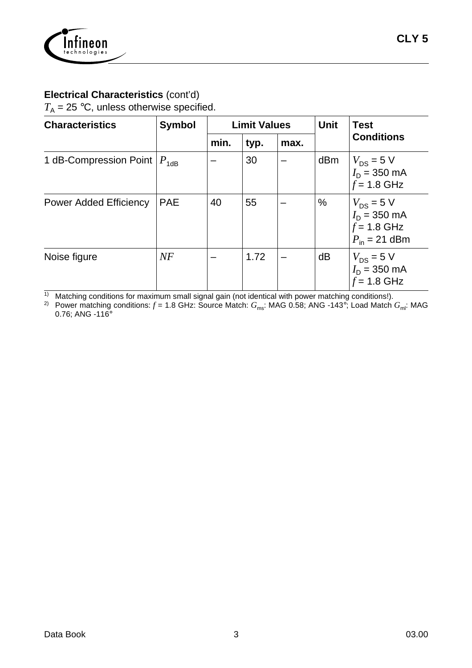

#### **Electrical Characteristics** (cont'd)

 $T_A$  = 25 °C, unless otherwise specified.

| <b>Characteristics</b>             | <b>Symbol</b> | <b>Limit Values</b> |      |      | <b>Unit</b> | <b>Test</b>                                                                           |  |
|------------------------------------|---------------|---------------------|------|------|-------------|---------------------------------------------------------------------------------------|--|
|                                    |               | min.                | typ. | max. |             | <b>Conditions</b>                                                                     |  |
| 1 dB-Compression Point $ P_{1dB} $ |               |                     | 30   |      | dBm         | $V_{DS}$ = 5 V<br>$I_D = 350 \text{ mA}$<br>$f = 1.8$ GHz                             |  |
| <b>Power Added Efficiency</b>      | <b>PAE</b>    | 40                  | 55   |      | %           | $V_{DS}$ = 5 V<br>$I_D = 350 \text{ mA}$<br>$f = 1.8$ GHz<br>$P_{\text{in}}$ = 21 dBm |  |
| Noise figure                       | NF            |                     | 1.72 |      | dB          | $V_{DS}$ = 5 V<br>$I_D = 350 \text{ mA}$<br>$f = 1.8$ GHz                             |  |

 $1)$  Matching conditions for maximum small signal gain (not identical with power matching conditions!).

 $^{2)}$  Power matching conditions:  $f$  = 1.8 GHz: Source Match:  $G_{\rm ms}$ : MAG 0.58; ANG -143°; Load Match  $G_{\rm ml}$ : MAG 0.76; ANG -116°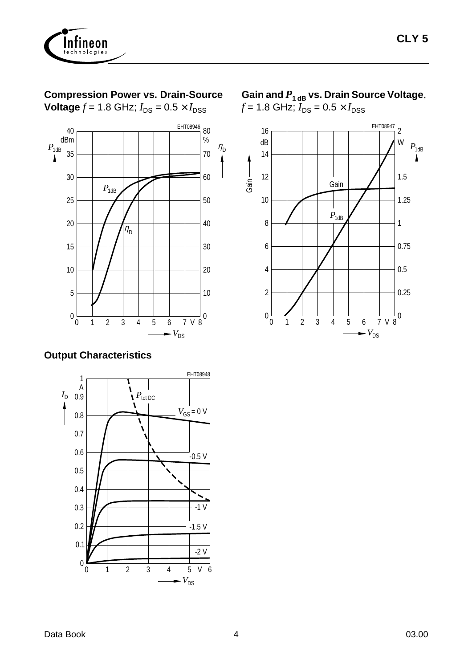

### **Compression Power vs. Drain-Source**

**Voltage**  $f = 1.8$  GHz;  $I_{DS} = 0.5 \times I_{DSS}$ 



#### **Output Characteristics**



Gain and  $P_{1 \text{ dB}}$  vs. Drain Source Voltage,  $f = 1.8 \text{ GHz}; I_{DS} = 0.5 \times I_{DSS}$ 

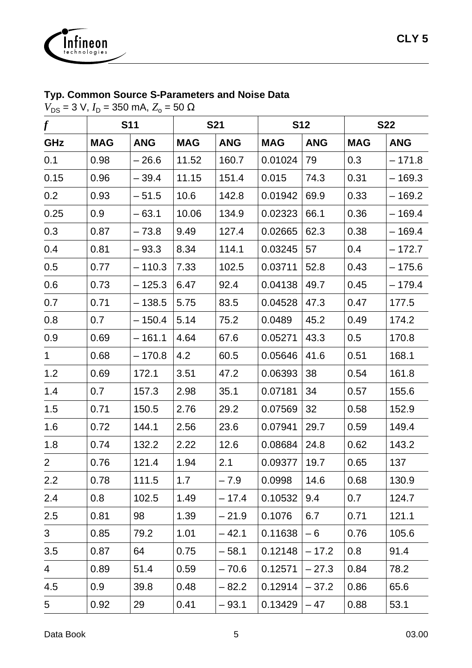

## **Typ. Common Source S-Parameters and Noise Data**

 $V_{DS}$  = 3 V,  $I_D$  = 350 mA,  $Z_o$  = 50 Ω

| $\boldsymbol{f}$ |            | <b>S11</b> |            | <b>S21</b> | <b>S12</b> |            | <b>S22</b> |            |
|------------------|------------|------------|------------|------------|------------|------------|------------|------------|
| GHz              | <b>MAG</b> | <b>ANG</b> | <b>MAG</b> | <b>ANG</b> | <b>MAG</b> | <b>ANG</b> | <b>MAG</b> | <b>ANG</b> |
| 0.1              | 0.98       | $-26.6$    | 11.52      | 160.7      | 0.01024    | 79         | 0.3        | $-171.8$   |
| 0.15             | 0.96       | $-39.4$    | 11.15      | 151.4      | 0.015      | 74.3       | 0.31       | $-169.3$   |
| 0.2              | 0.93       | $-51.5$    | 10.6       | 142.8      | 0.01942    | 69.9       | 0.33       | $-169.2$   |
| 0.25             | 0.9        | $-63.1$    | 10.06      | 134.9      | 0.02323    | 66.1       | 0.36       | $-169.4$   |
| 0.3              | 0.87       | $-73.8$    | 9.49       | 127.4      | 0.02665    | 62.3       | 0.38       | $-169.4$   |
| 0.4              | 0.81       | $-93.3$    | 8.34       | 114.1      | 0.03245    | 57         | 0.4        | $-172.7$   |
| 0.5              | 0.77       | $-110.3$   | 7.33       | 102.5      | 0.03711    | 52.8       | 0.43       | $-175.6$   |
| 0.6              | 0.73       | $-125.3$   | 6.47       | 92.4       | 0.04138    | 49.7       | 0.45       | $-179.4$   |
| 0.7              | 0.71       | $-138.5$   | 5.75       | 83.5       | 0.04528    | 47.3       | 0.47       | 177.5      |
| 0.8              | 0.7        | $-150.4$   | 5.14       | 75.2       | 0.0489     | 45.2       | 0.49       | 174.2      |
| 0.9              | 0.69       | $-161.1$   | 4.64       | 67.6       | 0.05271    | 43.3       | 0.5        | 170.8      |
| $\mathbf 1$      | 0.68       | $-170.8$   | 4.2        | 60.5       | 0.05646    | 41.6       | 0.51       | 168.1      |
| 1.2              | 0.69       | 172.1      | 3.51       | 47.2       | 0.06393    | 38         | 0.54       | 161.8      |
| 1.4              | 0.7        | 157.3      | 2.98       | 35.1       | 0.07181    | 34         | 0.57       | 155.6      |
| 1.5              | 0.71       | 150.5      | 2.76       | 29.2       | 0.07569    | 32         | 0.58       | 152.9      |
| 1.6              | 0.72       | 144.1      | 2.56       | 23.6       | 0.07941    | 29.7       | 0.59       | 149.4      |
| 1.8              | 0.74       | 132.2      | 2.22       | 12.6       | 0.08684    | 24.8       | 0.62       | 143.2      |
| $\overline{2}$   | 0.76       | 121.4      | 1.94       | 2.1        | 0.09377    | 19.7       | 0.65       | 137        |
| 2.2              | 0.78       | 111.5      | 1.7        | $-7.9$     | 0.0998     | 14.6       | 0.68       | 130.9      |
| 2.4              | 0.8        | 102.5      | 1.49       | $-17.4$    | 0.10532    | 9.4        | 0.7        | 124.7      |
| 2.5              | 0.81       | 98         | 1.39       | $-21.9$    | 0.1076     | 6.7        | 0.71       | 121.1      |
| 3 <sup>1</sup>   | 0.85       | 79.2       | 1.01       | $-42.1$    | 0.11638    | $-6$       | 0.76       | 105.6      |
| 3.5              | 0.87       | 64         | 0.75       | $-58.1$    | 0.12148    | $-17.2$    | 0.8        | 91.4       |
| $\overline{4}$   | 0.89       | 51.4       | 0.59       | $-70.6$    | 0.12571    | $-27.3$    | 0.84       | 78.2       |
| 4.5              | 0.9        | 39.8       | 0.48       | $-82.2$    | 0.12914    | $-37.2$    | 0.86       | 65.6       |
| $5\overline{)}$  | 0.92       | 29         | 0.41       | $-93.1$    | 0.13429    | $-47$      | 0.88       | 53.1       |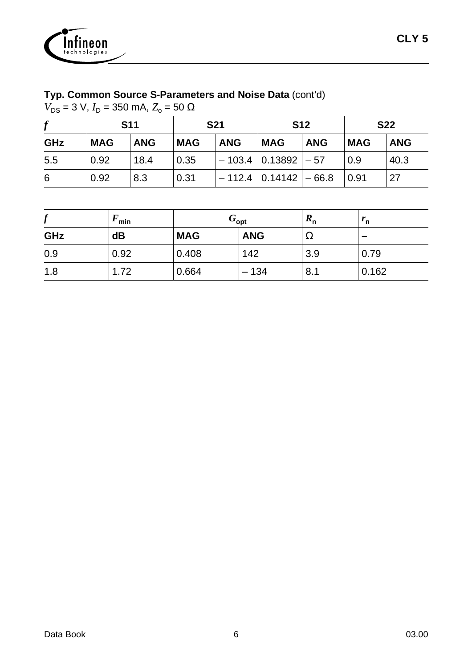

## **Typ. Common Source S-Parameters and Noise Data** (cont'd)

 $V_{DS}$  = 3 V,  $I_D$  = 350 mA,  $Z_o$  = 50 Ω

|     | <b>S11</b> |            | <b>S21</b> |            | <b>S12</b>                              |            | <b>S22</b> |            |
|-----|------------|------------|------------|------------|-----------------------------------------|------------|------------|------------|
| GHz | <b>MAG</b> | <b>ANG</b> | <b>MAG</b> | <b>ANG</b> | <b>MAG</b>                              | <b>ANG</b> | <b>MAG</b> | <b>ANG</b> |
| 5.5 | 0.92       | 18.4       | 0.35       |            | $-103.4$ $ 0.13892  - 57$               |            | 0.9        | 40.3       |
| 6   | 0.92       | 8.3        | 0.31       |            | $-112.4$ $\mid$ 0.14142 $\mid$ $-$ 66.8 |            | 0.91       | 27         |

| £<br>J | min  | $G_{\mathsf{opt}}$ |            | $R_{\sf n}$ | $^{\prime}$ n |
|--------|------|--------------------|------------|-------------|---------------|
| GHz    | dB   | <b>MAG</b>         | <b>ANG</b> | 77          | -             |
| 0.9    | 0.92 | 0.408              | 142        | 3.9         | 0.79          |
| 1.8    | 1.72 | 0.664              | $-134$     | 8.1         | 0.162         |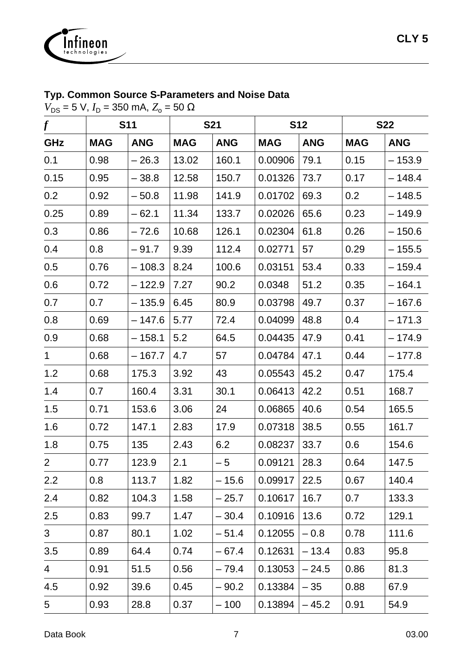

### **Typ. Common Source S-Parameters and Noise Data**

 $V_{DS}$  = 5 V,  $I_D$  = 350 mA,  $Z_o$  = 50 Ω

| $\boldsymbol{f}$ |            | <b>S11</b> |            | <b>S21</b> | <b>S12</b> |            | <b>S22</b> |            |
|------------------|------------|------------|------------|------------|------------|------------|------------|------------|
| GHz              | <b>MAG</b> | <b>ANG</b> | <b>MAG</b> | <b>ANG</b> | <b>MAG</b> | <b>ANG</b> | <b>MAG</b> | <b>ANG</b> |
| 0.1              | 0.98       | $-26.3$    | 13.02      | 160.1      | 0.00906    | 79.1       | 0.15       | $-153.9$   |
| 0.15             | 0.95       | $-38.8$    | 12.58      | 150.7      | 0.01326    | 73.7       | 0.17       | $-148.4$   |
| 0.2              | 0.92       | $-50.8$    | 11.98      | 141.9      | 0.01702    | 69.3       | 0.2        | $-148.5$   |
| 0.25             | 0.89       | $-62.1$    | 11.34      | 133.7      | 0.02026    | 65.6       | 0.23       | $-149.9$   |
| 0.3              | 0.86       | $-72.6$    | 10.68      | 126.1      | 0.02304    | 61.8       | 0.26       | $-150.6$   |
| 0.4              | 0.8        | $-91.7$    | 9.39       | 112.4      | 0.02771    | 57         | 0.29       | $-155.5$   |
| 0.5              | 0.76       | $-108.3$   | 8.24       | 100.6      | 0.03151    | 53.4       | 0.33       | $-159.4$   |
| 0.6              | 0.72       | $-122.9$   | 7.27       | 90.2       | 0.0348     | 51.2       | 0.35       | $-164.1$   |
| 0.7              | 0.7        | $-135.9$   | 6.45       | 80.9       | 0.03798    | 49.7       | 0.37       | $-167.6$   |
| 0.8              | 0.69       | $-147.6$   | 5.77       | 72.4       | 0.04099    | 48.8       | 0.4        | $-171.3$   |
| 0.9              | 0.68       | $-158.1$   | 5.2        | 64.5       | 0.04435    | 47.9       | 0.41       | $-174.9$   |
| $\mathbf 1$      | 0.68       | $-167.7$   | 4.7        | 57         | 0.04784    | 47.1       | 0.44       | $-177.8$   |
| 1.2              | 0.68       | 175.3      | 3.92       | 43         | 0.05543    | 45.2       | 0.47       | 175.4      |
| 1.4              | 0.7        | 160.4      | 3.31       | 30.1       | 0.06413    | 42.2       | 0.51       | 168.7      |
| 1.5              | 0.71       | 153.6      | 3.06       | 24         | 0.06865    | 40.6       | 0.54       | 165.5      |
| 1.6              | 0.72       | 147.1      | 2.83       | 17.9       | 0.07318    | 38.5       | 0.55       | 161.7      |
| 1.8              | 0.75       | 135        | 2.43       | 6.2        | 0.08237    | 33.7       | 0.6        | 154.6      |
| $\overline{2}$   | 0.77       | 123.9      | 2.1        | $-5$       | 0.09121    | 28.3       | 0.64       | 147.5      |
| 2.2              | 0.8        | 113.7      | 1.82       | – 15.6     | 0.09917    | 22.5       | 0.67       | 140.4      |
| 2.4              | 0.82       | 104.3      | 1.58       | $-25.7$    | 0.10617    | 16.7       | 0.7        | 133.3      |
| 2.5              | 0.83       | 99.7       | 1.47       | $-30.4$    | 0.10916    | 13.6       | 0.72       | 129.1      |
| 3 <sup>1</sup>   | 0.87       | 80.1       | 1.02       | $-51.4$    | 0.12055    | $-0.8$     | 0.78       | 111.6      |
| 3.5              | 0.89       | 64.4       | 0.74       | - 67.4     | 0.12631    | $-13.4$    | 0.83       | 95.8       |
| $\overline{4}$   | 0.91       | 51.5       | 0.56       | $-79.4$    | 0.13053    | $-24.5$    | 0.86       | 81.3       |
| 4.5              | 0.92       | 39.6       | 0.45       | $-90.2$    | 0.13384    | $-35$      | 0.88       | 67.9       |
| $5\overline{)}$  | 0.93       | 28.8       | 0.37       | $-100$     | 0.13894    | $-45.2$    | 0.91       | 54.9       |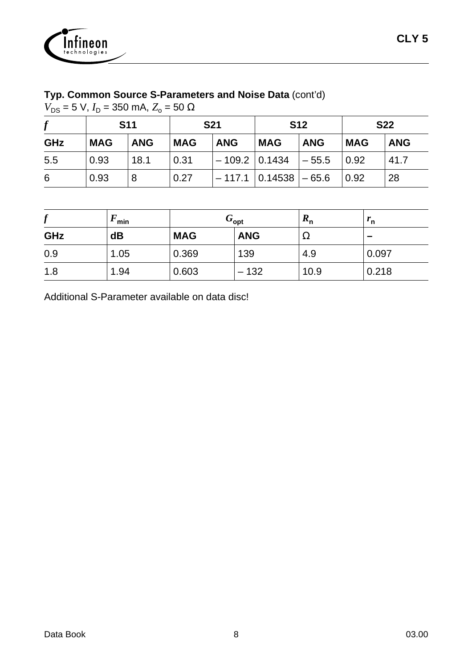

## **Typ. Common Source S-Parameters and Noise Data** (cont'd)

 $V_{DS}$  = 5 V,  $I_D$  = 350 mA,  $Z_o$  = 50 Ω

|     |            | <b>S11</b> |            | <b>S21</b> |                              | <b>S12</b> |             | <b>S22</b> |  |
|-----|------------|------------|------------|------------|------------------------------|------------|-------------|------------|--|
| GHz | <b>MAG</b> | <b>ANG</b> | <b>MAG</b> | <b>ANG</b> | <b>MAG</b>                   | <b>ANG</b> | <b>MAG</b>  | <b>ANG</b> |  |
| 5.5 | 0.93       | 18.1       | 0.31       |            | $ -109.2 0.1434  - 55.5$     |            | $\mid$ 0.92 | 41.7       |  |
| 6   | 0.93       |            | 0.27       |            | $-117.1$ $ 0.14538$ $ -65.6$ |            | 0.92        | 28         |  |

| J   | min  | $G_{\mathsf{opt}}$ |            | $\mathbf{u}_n$ | $^{\prime}$ n |
|-----|------|--------------------|------------|----------------|---------------|
| GHz | dB   | <b>MAG</b>         | <b>ANG</b> | 73             |               |
| 0.9 | 1.05 | 0.369              | 139        | 4.9            | 0.097         |
| 1.8 | 1.94 | 0.603              | $-132$     | 10.9           | 0.218         |

Additional S-Parameter available on data disc!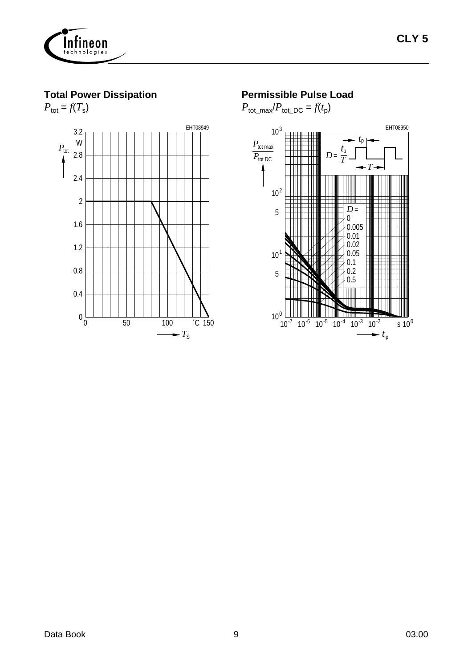

**Total Power Dissipation**



#### **Permissible Pulse Load**

 $P_{\text{tot\_max}}/P_{\text{tot\_DC}} = f(t_p)$ 

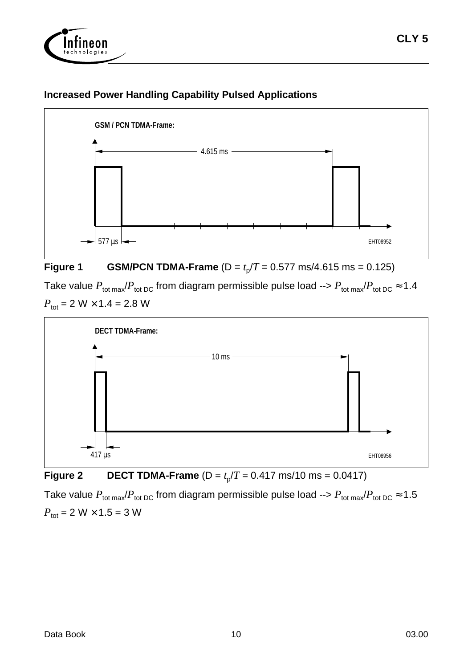



#### **Increased Power Handling Capability Pulsed Applications**



Take value  $P_{\text{tot max}}/P_{\text{tot DC}}$  from diagram permissible pulse load -->  $P_{\text{tot max}}/P_{\text{tot DC}} \approx 1.4$  $P_{\text{tot}} = 2 \text{ W} \times 1.4 = 2.8 \text{ W}$ 



**Figure 2** DECT TDMA-Frame  $(D = t_p/T = 0.417 \text{ ms}/10 \text{ ms} = 0.0417)$ 

Take value  $P_{\text{tot max}}/P_{\text{tot DC}}$  from diagram permissible pulse load -->  $P_{\text{tot max}}/P_{\text{tot DC}} \approx 1.5$  $P_{\text{tot}} = 2 W \times 1.5 = 3 W$